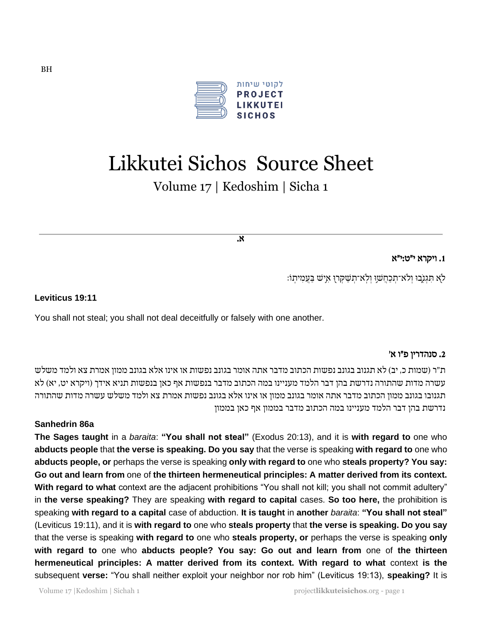

# Likkutei Sichos Source Sheet

Volume 17 | Kedoshim | Sicha 1

א .

## .1 ויקרא י״ט : י״א

לֹא תִּגְנְבוּ וְלֹא־תְכַחֲשׁוָ וְלְא־תְשַׁקְרוָ אִישׁ בַּעֲמִיתְוֹ:

#### **Leviticus 19:11**

You shall not steal; you shall not deal deceitfully or falsely with one another.

## .2 סנהדרין פ״ו א '

ת"ר (שמות כ, יב) לא תגנוב בגונב נפשות הכתוב מדבר אתה אומר בגונב נפשות או אינו אלא בגונב ממון אמרת צא ולמד משלש עשרה מדות שהתורה נדרשת בהן דבר הלמד מעניינו במה הכתוב מדבר בנפשות אף כאן בנפשות תניא אידך ) ויקרא יט, יא( לא תגנובו בגונב ממון הכתוב מדבר אתה אומר בגונב ממון או אינו אלא בגונב נפשות אמרת צא ולמד משלש עשרה מדות שהתורה נדרשת בהן דבר הלמד מעניינו במה הכתוב מדבר בממון אף כאן בממון

#### **Sanhedrin 86a**

**The Sages taught** in a *baraita*: **"You shall not steal"** (Exodus 20:13), and it is **with regard to** one who **abducts people** that **the verse is speaking. Do you say** that the verse is speaking **with regard to** one who **abducts people, or** perhaps the verse is speaking **only with regard to** one who **steals property? You say: Go out and learn from** one of **the thirteen hermeneutical principles: A matter derived from its context. With regard to what** context are the adjacent prohibitions "You shall not kill; you shall not commit adultery" in **the verse speaking?** They are speaking **with regard to capital** cases. **So too here,** the prohibition is speaking **with regard to a capital** case of abduction. **It is taught** in **another** *baraita*: **"You shall not steal"** (Leviticus 19:11), and it is **with regard to** one who **steals property** that **the verse is speaking. Do you say** that the verse is speaking **with regard to** one who **steals property, or** perhaps the verse is speaking **only with regard to** one who **abducts people? You say: Go out and learn from** one of **the thirteen hermeneutical principles: A matter derived from its context. With regard to what** context **is the** subsequent **verse:** "You shall neither exploit your neighbor nor rob him" (Leviticus 19:13), **speaking?** It is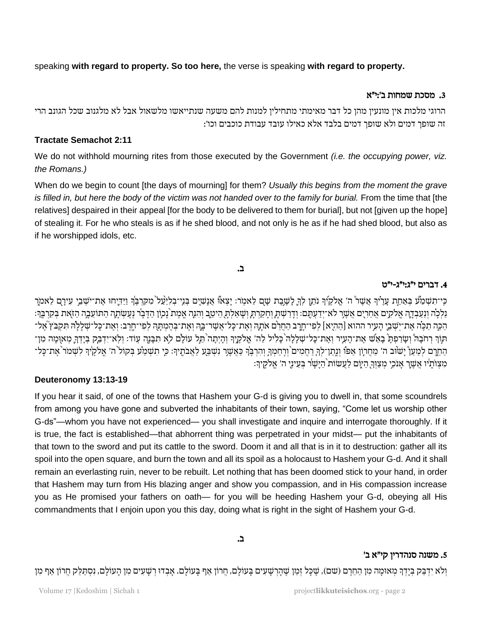speaking **with regard to property. So too here,** the verse is speaking **with regard to property.**

## .3 מסכת שמחות ב':י"א

הרוגי מלכות אין מונעין מהן כל דבר מאימתי מתחילין למנות להם משעה שנתייאשו מלשאול אבל לא מלגנוב שכל הגונב הרי זה שופך דמים ולא שופך דמים בלבד אלא כאילו עובד עבודת כוכבים וכו׳:

## **Tractate Semachot 2:11**

We do not withhold mourning rites from those executed by the Government *(i.e. the occupying power, viz. the Romans.)*

When do we begin to count [the days of mourning] for them? *Usually this begins from the moment the grave is filled in, but here the body of the victim was not handed over to the family for burial.* From the time that [the relatives] despaired in their appeal [for the body to be delivered to them for burial], but not [given up the hope] of stealing it. For he who steals is as if he shed blood, and not only is he as if he had shed blood, but also as if he worshipped idols, etc.

## ב.

#### .4 דברים י״ג : י״ג - י״ט

כִּי־תִשְׁמַע בְּאַחַת עָרָיֹךְ אֲשָר ה' אֱלקֶיךְ נֹתֵן לְךָ לָשֶׁבֶת שָׁם לֵאמְר: יָצְאוֹ אֲנָשִיִם בְּנֵי־בְלִיַעַל מִקִּךְבֶּךְ וַיַּדְיֶחוּ אֶת־יֹשָׁבֵי עִירָם לֵאמֹרֵ ָ ָ ָ נַלְלָה וְנַעַבְדֶה אֱלֹקִים אֲחֵרִים אֲשֶר לֹא־יְדַעְתֶם: וְדַרַשְׁתָ וְחָקַרְתָ וְשָׁאַלְתָ הֵיטֵב וְהִנֶה אֱמָת נָכון הַדָּבָר נֶעֶשְׂתָה הַתוֹעֵבֶה הַזאת בְּקִרְבֵּךְ: ַהְכֵּה תַכֶּה אֶת־יִשְׁבֵי הַעִיר ההוא [הַהִיָּא] לִפִי־חֲרֵב הַחֲרֶם אֹתָהּ וְאֵת־כָּל־אֲשֶׁר־בַּהְ וְאֵת־בְּהָמְתַּהְ לִפְי־חֲרֵב: וְאֶת־כָּל־שָׁלָלַהּ תִּקְבֹּץ אֶל־ תוך רְחֹבָה וְשָרַפְהָ בָאֵשׁ אֶת־הָעִיר וְאֶת־כָל־שְלָלָה כָּלִיל לַה׳ אֱלֹקֶיֶךְ וְהָיְתָה הֵלֵל לֹא תִבְּנֶה עִוד: וְלְא־יִדְבַק בְּיָדְרֶ מְאוָמָה מִן־ ֖֖֧֖֚֚֚֚֚֚֚֚֝֝֓֡֓֓֡֓֓֡֓֓֡֓֓֡֓֓֡֓֡֓ הַחֲרָם לְמַעַןْ יָשׂוּב ה' מַחֲרוֹן אַפוֹ וְנֶתו־לִךְ רַחֲמִים וְרֶחַמְךָ וְהִרְבֶּךְ כִּאֲשֶׁרָ נִשְׁבַעַ לַאֲבֹתֶיךָ: כְּי תִשְׁמַע בְּקוֹל ה' אֱלֹקֶיךָ לִשְׁמֹר אֶת־כָּל־ ָ ָ ֖֧֖֖֖֧֧ׅ֧ׅ֚֚֚֚֚֚֚֚֚֝֝֓֜֓֡֓֜֓֡֓֡֓֡֬ ֖֖֖֖֖֧ׅ֖֧ׅ֖ׅ֖֧ׅ֧֚֚֚֚֚֚֚֚֚֚֚֚֚֚֚֚֚֚֚֚֚֚֝֝֝֝֓֝ ִמְצְוֹתָיו אֲשֶׁרֶ אָנִכְי מְצַוְךָ הַלֶּם לַעֲשׂוֹת הַיָּשָׁר בְּעֵינֵי ה' אֱלֹקֶיךָ: ָ

## **Deuteronomy 13:13-19**

If you hear it said, of one of the towns that Hashem your G-d is giving you to dwell in, that some scoundrels from among you have gone and subverted the inhabitants of their town, saying, "Come let us worship other G-ds"—whom you have not experienced— you shall investigate and inquire and interrogate thoroughly. If it is true, the fact is established—that abhorrent thing was perpetrated in your midst— put the inhabitants of that town to the sword and put its cattle to the sword. Doom it and all that is in it to destruction: gather all its spoil into the open square, and burn the town and all its spoil as a holocaust to Hashem your G-d. And it shall remain an everlasting ruin, never to be rebuilt. Let nothing that has been doomed stick to your hand, in order that Hashem may turn from His blazing anger and show you compassion, and in His compassion increase you as He promised your fathers on oath— for you will be heeding Hashem your G-d, obeying all His commandments that I enjoin upon you this day, doing what is right in the sight of Hashem your G-d.

## ב.

## .5 משנה סנהדרין קי"א ב'

וְלֹא יִדְבַּק בְּיָדְךָ מְאוּמָה מִן הַחֵרֶם (שם), שֶׁכָּל זְמַן שָׁהְרְשָׁעִים בָּעוֹלָם, חֲרוֹן אַף בָּעוֹל<br>אָבְדוּ רְשָׁעִים מִן הָעוֹלָם, נִסְתַּלֵק חֲרוֹן אַף מִן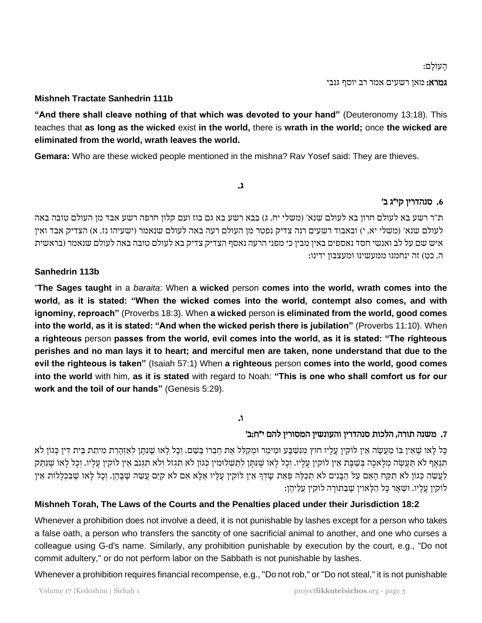ָהע וָלם: גמרא: מאן רשעים אמר רב יוסף גנבי

## **Mishneh Tractate Sanhedrin 111b**

**"And there shall cleave nothing of that which was devoted to your hand"** (Deuteronomy 13:18). This teaches that **as long as the wicked** exist **in the world,** there is **wrath in the world;** once **the wicked are eliminated from the world, wrath leaves the world.**

**Gemara:** Who are these wicked people mentioned in the mishna? Rav Yosef said: They are thieves.

#### ג.

## .6 סנהדרין קי״ג ב '

ת"ר רשע בא לעולם חרון בא לעולם שנא' (משלי יח, ג) בבא רשע בא גם בוז ועם קלון חרפה רשע אבד מן העולם טובה באה לעולם שנא' (משלי יא, י) ובאבוד רשעים רנה צדיק נפטר מן העולם רעה באה לעולם שנאמר (ישעיהו נז, א) הצדיק אבד ואין איש שם על לב ואנשי חסד נאספים באין מבין כי מפני הרעה נאסף הצדיק צדיק בא לעולם טובה באה לעולם שנאמר )בראשית ה, כט) זה ינחמנו ממעשינו ומעצבון ידינו:

## **Sanhedrin 113b**

"**The Sages taught** in a *baraita*: When **a wicked** person **comes into the world, wrath comes into the world, as it is stated: "When the wicked comes into the world, contempt also comes, and with ignominy, reproach"** (Proverbs 18:3). When **a wicked** person **is eliminated from the world, good comes into the world, as it is stated: "And when the wicked perish there is jubilation"** (Proverbs 11:10). When **a righteous** person **passes from the world, evil comes into the world, as it is stated: "The righteous perishes and no man lays it to heart; and merciful men are taken, none understand that due to the evil the righteous is taken"** (Isaiah 57:1) When **a righteous** person **comes into the world, good comes into the world** with him, **as it is stated** with regard to Noah: **"This is one who shall comfort us for our work and the toil of our hands"** (Genesis 5:29).

## ו.

# 7. משנה תורה, הלכות סנהדרין והעונשין המסורין להם י״ח:ב׳

ָכֶּל לָאו שֶׁאֵין בּוֹ מַעֲשֶׂה אֵין לוֹקִין עַלָיו חוּץ מִנְשָׁבַּע וּמֵימֶר וּמִקַלֶּל אֶת חֲבָרוֹ בִּשָׁם. וְכָל לָאו שֵׁנִּתַּן לְאַזְהַרַת מִיתַת בֵּית דִּין כְּגוֹן לֹא תִּנְאָף לא תַּעֲשֶׂה מְלָאכָה בְּשַׁבָּת אֵין לוֹקִין עָלָיו. וְכָל לָאו שֶׁנִּתָּן לְתַשְׁלוּמִין כְּגוֹן לֹא תִּגְזל וְלֹא תִגְנֹב אֵין לוֹקִין עָלָיו. וְכָל לָאו שֵׁנִּתַּק לַעֲשֵׂה כְּגוֹן לֹא תִקַּח הָאֵם עַל הַבָּנִים לֹא תְכַלֶּה פְּאַת שָדְךָ אֵין לוֹקִין עָלָיו אֶלְא אִם לֹא קִיֵּם עֲשַׂה שֶׁבָּהֶן. וְכָל לְאו שֶׁבִּכְלָלוֹת אֵין לוֹקִין עַלַיו. וּשָׁאַר כַּל הַלַּאוִין שֵׁבַּתּוֹרַה לוֹקִין עֵלֶיהֵן:

## **Mishneh Torah, The Laws of the Courts and the Penalties placed under their Jurisdiction 18:2**

Whenever a prohibition does not involve a deed, it is not punishable by lashes except for a person who takes a false oath, a person who transfers the sanctity of one sacrificial animal to another, and one who curses a colleague using G-d's name. Similarly, any prohibition punishable by execution by the court, e.g., "Do not commit adultery," or do not perform labor on the Sabbath is not punishable by lashes.

Whenever a prohibition requires financial recompense, e.g., "Do not rob," or "Do not steal," it is not punishable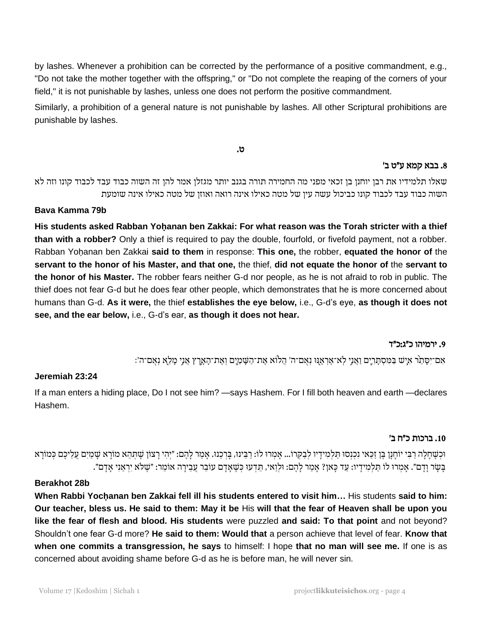by lashes. Whenever a prohibition can be corrected by the performance of a positive commandment, e.g., "Do not take the mother together with the offspring," or "Do not complete the reaping of the corners of your field," it is not punishable by lashes, unless one does not perform the positive commandment.

Similarly, a prohibition of a general nature is not punishable by lashes. All other Scriptural prohibitions are punishable by lashes.

ט.

## .8 בבא קמא ע״ט ב '

שאלו תלמידיו את רבן יוחנן בן זכאי מפני מה החמירה תורה בגנב יותר מגזלן אמר להן זה השוה כבוד עבד לכבוד קונו וזה לא השוה כבוד עבד לכבוד קונו כביכול עשה עין של מטה כאילו אינה רואה ואוזן של מטה כאילו אינה שומעת

## **Bava Kamma 79b**

**His students asked Rabban Yohanan ben Zakkai: For what reason was the Torah stricter with a thief than with a robber?** Only a thief is required to pay the double, fourfold, or fivefold payment, not a robber. Rabban Yoḥanan ben Zakkai **said to them** in response: **This one,** the robber, **equated the honor of** the **servant to the honor of his Master, and that one,** the thief, **did not equate the honor of** the **servant to the honor of his Master.** The robber fears neither G-d nor people, as he is not afraid to rob in public. The thief does not fear G-d but he does fear other people, which demonstrates that he is more concerned about humans than G-d. **As it were,** the thief **establishes the eye below,** i.e., G-d's eye, **as though it does not see, and the ear below,** i.e., G-d's ear, **as though it does not hear.**

#### .9 ירמיהו כ״ג : כ״ד

ַ יִּמְרֹיִסְּתֵרְ אִיָּשׁ בַּמִּסְתָּרְיֶם וַאֲנִי לְא־אֶרְאֶוּ נְאָם־ה': הֲלוֹא אֶת־הַשָּׁמַיָם וְאֶת־הָאָרֶץ אֲנִי מָלֵא נִאָם־ה':

## **Jeremiah 23:24**

If a man enters a hiding place, Do I not see him? —says Hashem. For I fill both heaven and earth —declares Hashem.

## .10 ברכות כ״ח ב '

ַּרְכָנוּ. אֲמַחֲלָה רַבִּי יוֹחַנַן בֶּן זַכָּאי נְכְנְסוּ תַּלְמִידֵיו לִבַקְרוֹ... אֲמִרוּ לוֹ: רַבֵּינוּ, בַּרְכֵנוּ. אַמַר לַהֵם: ״יְהִי רַצוֹן שֶׁתְּהָא מוֹרָא שָׁמַיִם עֲלֵיכֶם כְּמוֹרָא ָבְּשָׂר וַדָם״. אֲמְרוּ לוֹ תַּלְמִידַיו: עַד כָּאן? אַמַר לַהֵם: וּלְוַאי, תִּדְעוּ כְּשֵׁאַדַם עוֹבֵר עֲבֵירַה אוֹמֵר: ״שָׁלֹא יִרְאַנִי אַדַם״.

#### **Berakhot 28b**

**When Rabbi Yocḥanan ben Zakkai fell ill his students entered to visit him…** His students **said to him: Our teacher, bless us. He said to them: May it be** His **will that the fear of Heaven shall be upon you like the fear of flesh and blood. His students** were puzzled **and said: To that point** and not beyond? Shouldn't one fear G-d more? **He said to them: Would that** a person achieve that level of fear. **Know that when one commits a transgression, he says** to himself: I hope **that no man will see me.** If one is as concerned about avoiding shame before G-d as he is before man, he will never sin.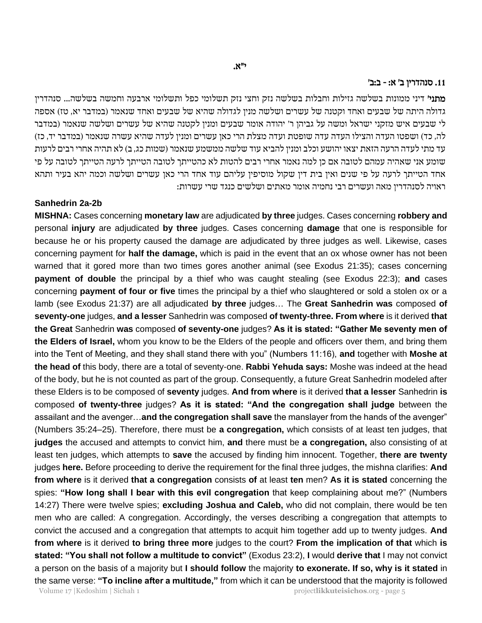#### .11 סנהדרין ב׳ א : - ב : ב׳

**מתני׳** דיני ממונות בשלשה גזילות וחבלות בשלשה נזק וחצי נזק תשלומי כפל ותשלומי ארבעה וחמשה בשלשה... סנהדרין גדולה היתה של שבעים ואחד וקטנה של עשרים ושלשה מנין לגדולה שהיא של שבעים ואחד שנאמר (במדבר יא, טז) אספה לי שבעים איש מזקני ישראל ומשה על גביהן ר' יהודה אומר שבעים ומנין לקטנה שהיא של עשרים ושלשה שנאמר )במדבר לה, כד) ושפטו העדה והצילו העדה עדה שופטת ועדה מצלת הרי כאן עשרים ומנין לעדה שהיא עשרה שנאמר (במדבר יד, כז) עד מתי לעדה הרעה הזאת יצאו יהושע וכלב ומנין להביא עוד שלשה ממשמע שנאמר )שמות כג, ב( לא תהיה אחרי רבים לרעות שומע אני שאהיה עמהם לטובה אם כן למה נאמר אחרי רבים להטות לא כהטייתך לטובה הטייתך לרעה הטייתך לטובה על פי אחד הטייתך לרעה על פי שנים ואין בית דין שקול מוסיפין עליהם עוד אחד הרי כאן עשרים ושלשה וכמה יהא בעיר ותהא ראויה לסנהדרין מאה ועשרים רבי נחמיה אומר מאתים ושלשים כנגד שרי עשרות:

## **Sanhedrin 2a-2b**

**MISHNA:** Cases concerning **monetary law** are adjudicated **by three** judges. Cases concerning **robbery and** personal **injury** are adjudicated **by three** judges. Cases concerning **damage** that one is responsible for because he or his property caused the damage are adjudicated by three judges as well. Likewise, cases concerning payment for **half the damage,** which is paid in the event that an ox whose owner has not been warned that it gored more than two times gores another animal (see Exodus 21:35); cases concerning **payment of double** the principal by a thief who was caught stealing (see Exodus 22:3); **and** cases concerning **payment of four or five** times the principal by a thief who slaughtered or sold a stolen ox or a lamb (see Exodus 21:37) are all adjudicated **by three** judges… The **Great Sanhedrin was** composed **of seventy-one** judges, **and a lesser** Sanhedrin was composed **of twenty-three. From where** is it derived **that the Great** Sanhedrin **was** composed **of seventy-one** judges? **As it is stated: "Gather Me seventy men of the Elders of Israel,** whom you know to be the Elders of the people and officers over them, and bring them into the Tent of Meeting, and they shall stand there with you" (Numbers 11:16), **and** together with **Moshe at the head of** this body, there are a total of seventy-one. **Rabbi Yehuda says:** Moshe was indeed at the head of the body, but he is not counted as part of the group. Consequently, a future Great Sanhedrin modeled after these Elders is to be composed of **seventy** judges. **And from where** is it derived **that a lesser** Sanhedrin **is** composed **of twenty-three** judges? **As it is stated: "And the congregation shall judge** between the assailant and the avenger…**and the congregation shall save** the manslayer from the hands of the avenger" (Numbers 35:24–25). Therefore, there must be **a congregation,** which consists of at least ten judges, that **judges** the accused and attempts to convict him, **and** there must be **a congregation,** also consisting of at least ten judges, which attempts to **save** the accused by finding him innocent. Together, **there are twenty** judges **here.** Before proceeding to derive the requirement for the final three judges, the mishna clarifies: **And from where** is it derived **that a congregation** consists **of** at least **ten** men? **As it is stated** concerning the spies: **"How long shall I bear with this evil congregation** that keep complaining about me?" (Numbers 14:27) There were twelve spies; **excluding Joshua and Caleb,** who did not complain, there would be ten men who are called: A congregation. Accordingly, the verses describing a congregation that attempts to convict the accused and a congregation that attempts to acquit him together add up to twenty judges. **And from where** is it derived **to bring three more** judges to the court? **From the implication of that** which **is stated: "You shall not follow a multitude to convict"** (Exodus 23:2), **I** would **derive that** I may not convict a person on the basis of a majority but **I should follow** the majority **to exonerate. If so, why is it stated** in the same verse: **"To incline after a multitude,"** from which it can be understood that the majority is followed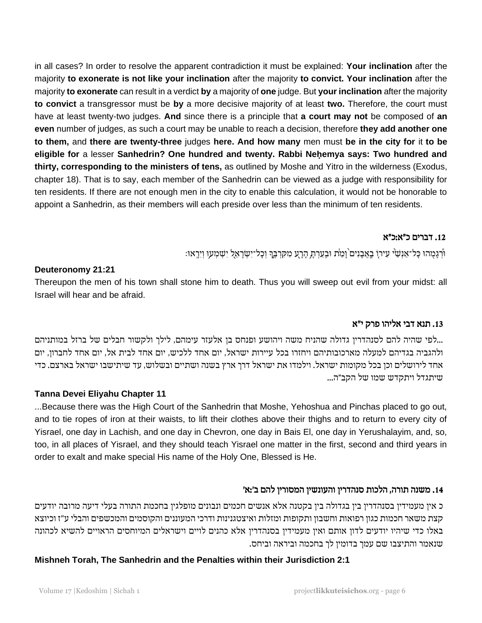in all cases? In order to resolve the apparent contradiction it must be explained: **Your inclination** after the majority **to exonerate is not like your inclination** after the majority **to convict. Your inclination** after the majority **to exonerate** can result in a verdict **by** a majority of **one** judge. But **your inclination** after the majority **to convict** a transgressor must be **by** a more decisive majority of at least **two.** Therefore, the court must have at least twenty-two judges. **And** since there is a principle that **a court may not** be composed of **an even** number of judges, as such a court may be unable to reach a decision, therefore **they add another one to them,** and **there are twenty-three** judges **here. And how many** men must **be in the city for** it **to be eligible for** a lesser **Sanhedrin? One hundred and twenty. Rabbi Neḥemya says: Two hundred and thirty, corresponding to the ministers of tens,** as outlined by Moshe and Yitro in the wilderness (Exodus, chapter 18). That is to say, each member of the Sanhedrin can be viewed as a judge with responsibility for ten residents. If there are not enough men in the city to enable this calculation, it would not be honorable to appoint a Sanhedrin, as their members will each preside over less than the minimum of ten residents.

## .12 דברים כ״א:כ״א

ּוֹּרְגָּמָהוּ כָּל־אַנְשֵׁיּ עִירוָ בְאֲבָנִים וָמֶת וּבְעַרְתָּ הָרָע מִקִּרְבֶֶּךְ וְכָל־יִשְׂרָאֵל יִשְׁמְעוּ וְיִרְאוּ: ָ

## **Deuteronomy 21:21**

Thereupon the men of his town shall stone him to death. Thus you will sweep out evil from your midst: all Israel will hear and be afraid.

# .13 תנא דבי אליהו פרק י " א

...לפי שהיה להם לסנהדרין גדולה שהניח משה ויהושע ופנחס בן אלעזר עימהם, לילך ולקשור חבלים של ברזל במותניהם ולהגביה בגדיהם למעלה מארכובותיהם ויחזרו בכל עיירות ישראל, יום אחד ללכיש, יום אחד לבית אל, יום אחד לחברון, יום אחד לירושלים וכן בכל מקומות ישראל. וילמדו את ישראל דרך ארץ בשנה ושתיים ובשלוש, עד שיתישבו ישראל בארצם. כדי שיתגדל ויתקדש שמו של הקב״ה...

## **Tanna Devei Eliyahu Chapter 11**

...Because there was the High Court of the Sanhedrin that Moshe, Yehoshua and Pinchas placed to go out, and to tie ropes of iron at their waists, to lift their clothes above their thighs and to return to every city of Yisrael, one day in Lachish, and one day in Chevron, one day in Bais El, one day in Yerushalayim, and, so, too, in all places of Yisrael, and they should teach Yisrael one matter in the first, second and third years in order to exalt and make special His name of the Holy One, Blessed is He.

# .14 משנה תורה , הלכות סנהדרין והעונשין המסורין להם ב׳: א׳

כ אין מעמידין בסנהדרין בין בגדולה בין בקטנה אלא אנשים חכמים ונבונים מופלגין בחכמת התורה בעלי דיעה מרובה יודעים קצת משאר חכמות כגון רפואות וחשבון ותקופות ומזלות ואיצטגנינות ודרכי המעוננים והקוסמים והמכשפים והבלי ע "ז וכיוצא באלו כדי שיהיו יודעים לדון אותם ואין מעמידין בסנהדרין אלא כהנים לויים וישראלים המיוחסים הראויים להשיא לכהונה שנאמר והתיצבו שם עמך בדומין לך בחכמה וביראה וביחס.

## **Mishneh Torah, The Sanhedrin and the Penalties within their Jurisdiction 2:1**